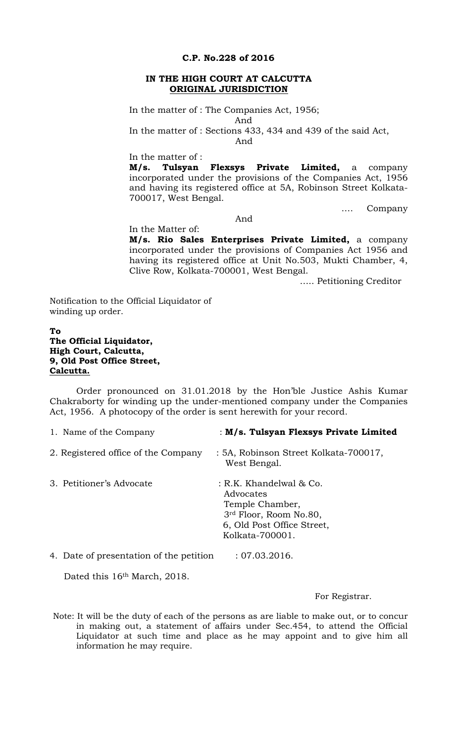#### **C.P. No.228 of 2016**

#### **IN THE HIGH COURT AT CALCUTTA ORIGINAL JURISDICTION**

In the matter of : The Companies Act, 1956;

In the matter of : Sections 433, 434 and 439 of the said Act,

And

And

In the matter of :

**M/s. Tulsyan Flexsys Private Limited,** a company incorporated under the provisions of the Companies Act, 1956 and having its registered office at 5A, Robinson Street Kolkata-700017, West Bengal.

…. Company

### And

In the Matter of: **M/s. Rio Sales Enterprises Private Limited,** a company incorporated under the provisions of Companies Act 1956 and having its registered office at Unit No.503, Mukti Chamber, 4, Clive Row, Kolkata-700001, West Bengal.

….. Petitioning Creditor

Notification to the Official Liquidator of winding up order.

# **To The Official Liquidator, High Court, Calcutta, 9, Old Post Office Street, Calcutta.**

Order pronounced on 31.01.2018 by the Hon'ble Justice Ashis Kumar Chakraborty for winding up the under-mentioned company under the Companies Act, 1956. A photocopy of the order is sent herewith for your record.

| 1. Name of the Company                  | : M/s. Tulsyan Flexsys Private Limited                                                                                             |
|-----------------------------------------|------------------------------------------------------------------------------------------------------------------------------------|
| 2. Registered office of the Company     | : 5A, Robinson Street Kolkata-700017,<br>West Bengal.                                                                              |
| 3. Petitioner's Advocate                | : R.K. Khandelwal & Co.<br>Advocates<br>Temple Chamber,<br>3rd Floor, Room No.80,<br>6, Old Post Office Street,<br>Kolkata-700001. |
| 4. Date of presentation of the petition | : 07.03.2016.                                                                                                                      |

Dated this 16<sup>th</sup> March, 2018.

### For Registrar.

Note: It will be the duty of each of the persons as are liable to make out, or to concur in making out, a statement of affairs under Sec.454, to attend the Official Liquidator at such time and place as he may appoint and to give him all information he may require.